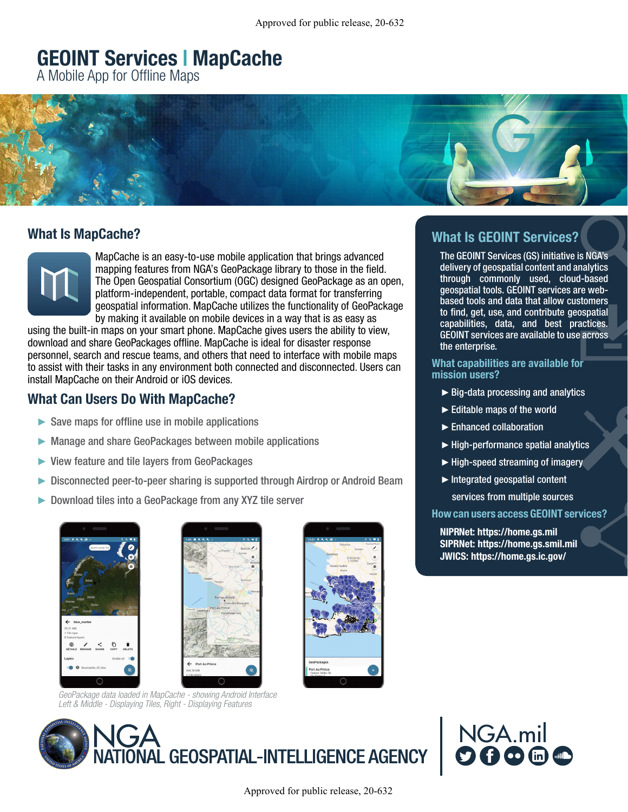#### **GEOINT Services | MapCache** CEOINT Cervices | ManCeobe **GEOINT Services | MapCache**

A Mobile App for Offline Maps



#### hat is MapCache? **Let Le MenCeche<sup>0</sup>** What Is MapCache?

**Eingery MapCache is an easy-to-use mobile application that brings advanced** mapping features from NGA's GeoPackage library to those in the field. The Open Geospatial Consortium (OGC) designed GeoPackage as an open, **IMPER CLOUDTM IMAGERSTARE STARES (WAMI) SERVICE AREA MOTION IMAGERS** IN THE PAPER STAR PRINCIPLE IN PLATFORM IN THE PAPER STAR PRINCIPLE IN THE PAPER OF TRANSFERRING ON THE PAPER OF TRANSFERRING OF TRANSFERRING IN THE PAP ervice. The map of the speed of the speed of the speed data in the contractor web browser or the geospatial information. MapCache utilizes the functionality of GeoPackage by making it available on mobile devices in a way that is as easy as The Pixia Imagery Suite is a group of cloud-based imagery exploitation

using the built-in maps on your smart phone. MapCache gives users the ability to view, download and share GeoPackages offline. MapCache is ideal for disaster response personnel, search and rescue teams, and others that need to interface with mobile maps المستحدث المستحدث المستحدث المستحدث المستحدث المستحدث المستحدث المستحدث المستحدث المستحدث المستحدث المستحدث ا<br>مستحدث المستحدث المستحدث المستحدث المستحدث المستحدث المستحدث المستحدث المستحدث المستحدث المستحدث المستحدث المس install MapCache on their Android or iOS devices.  $\frac{1}{2}$  Start and resture teams, and unit is matriced to interface with modificial Consortium to assist with their tasks in any environment both connected and disconnected. Users can  $A$ 

#### What Can Users Do With MapCache? machine-learning algorithms, computer-vision tools and object-recognition workflows)

- ave maps for omnie use in mobile applications  $\mathbf{A} = \begin{bmatrix} \mathbf{A} & \mathbf{A} & \mathbf{A} & \mathbf{A} & \mathbf{A} & \mathbf{A} & \mathbf{A} & \mathbf{A} & \mathbf{A} & \mathbf{A} & \mathbf{A} & \mathbf{A} & \mathbf{A} & \mathbf{A} & \mathbf{A} & \mathbf{A} & \mathbf{A} & \mathbf{A} & \mathbf{A} & \mathbf{A} & \mathbf{A} & \mathbf{A} & \mathbf{A} & \mathbf{A} & \mathbf{A} & \mathbf{A} & \mathbf{A} & \mathbf{A} & \mathbf{A} & \mathbf{$  $\blacktriangleright$  Save maps for offline use in mobile applications
- ► Manage and share GeoPackages between mobile applications
- helicopter landing zone evaluations ► View feature and tile layers from GeoPackages
- ► Disconnected peer-to-peer sharing is supported through Airdrop or Android Beam
- $\triangleright$  Download tiles into a GeoPackage from any XV7 tile server  $\sim$  behind and the wave and be used to rapidly access for  $\frac{1}{2}$  and temporal and temporal and temporal and temporal and temporal and temporal and temporal and temporal and temporal and temporal and temporal and tempo  $\blacksquare$  Download tiles into a Geopackane from any YV7 tile server ► Download tiles into a GeoPackage from any XYZ tile server













What Is GEOINT Services? what Is Geodesic Services?  $T$  George Services (GS) is not  $\mathbf{G}$  in the  $\mathbf{G}$  initial vector is  $\mathbf{G}$ 

The GEOINT Services (GS) initiative is NGA's delivery of geospatial content and analytics through commonly used, cloud-based geospatial tools. GEOINT services are webbased tools and data that allow customers to find, get, use, and contribute geospatial capabilities, data, and best practices. GEOINT services are available to use across  $\blacksquare$  the enterprise.

#### What capabilities are available for mission users? ►Big-data processing and analytics

- $\blacktriangleright$  Big-data processing and analytics
- $\blacktriangleright$  Editable maps of the world
- $\blacktriangleright$  Enhanced collaboration
- $\blacktriangleright$  High-performance spatial analytics
- $\blacktriangleright$  High-speed streaming of imagery
- $\blacktriangleright$  Integrated geospatial content

services from multiple sources

How can users access GEOINT services?

NIPRNet: https://home.gs.mil SIPRNet: https://home.gs.smil.mil JWICS: https://home.gs.ic.gov/